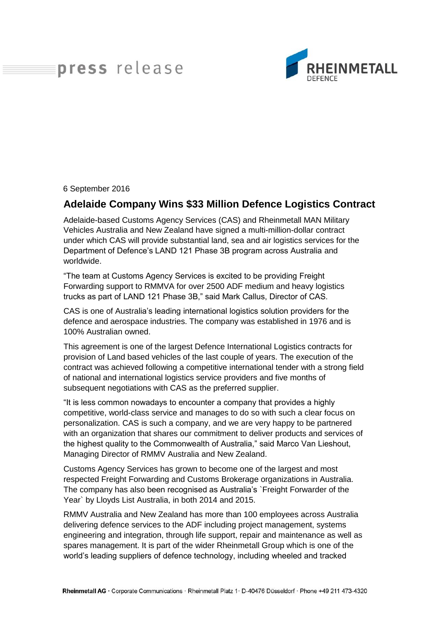## press release



6 September 2016

## **Adelaide Company Wins \$33 Million Defence Logistics Contract**

Adelaide-based Customs Agency Services (CAS) and Rheinmetall MAN Military Vehicles Australia and New Zealand have signed a multi-million-dollar contract under which CAS will provide substantial land, sea and air logistics services for the Department of Defence's LAND 121 Phase 3B program across Australia and worldwide.

"The team at Customs Agency Services is excited to be providing Freight Forwarding support to RMMVA for over 2500 ADF medium and heavy logistics trucks as part of LAND 121 Phase 3B," said Mark Callus, Director of CAS.

CAS is one of Australia's leading international logistics solution providers for the defence and aerospace industries. The company was established in 1976 and is 100% Australian owned.

This agreement is one of the largest Defence International Logistics contracts for provision of Land based vehicles of the last couple of years. The execution of the contract was achieved following a competitive international tender with a strong field of national and international logistics service providers and five months of subsequent negotiations with CAS as the preferred supplier.

"It is less common nowadays to encounter a company that provides a highly competitive, world-class service and manages to do so with such a clear focus on personalization. CAS is such a company, and we are very happy to be partnered with an organization that shares our commitment to deliver products and services of the highest quality to the Commonwealth of Australia," said Marco Van Lieshout, Managing Director of RMMV Australia and New Zealand.

Customs Agency Services has grown to become one of the largest and most respected Freight Forwarding and Customs Brokerage organizations in Australia. The company has also been recognised as Australia's `Freight Forwarder of the Year` by Lloyds List Australia, in both 2014 and 2015.

RMMV Australia and New Zealand has more than 100 employees across Australia delivering defence services to the ADF including project management, systems engineering and integration, through life support, repair and maintenance as well as spares management. It is part of the wider Rheinmetall Group which is one of the world's leading suppliers of defence technology, including wheeled and tracked